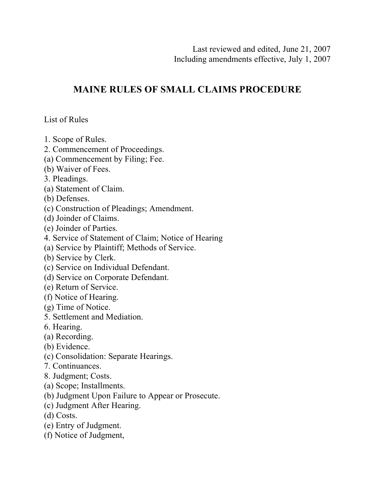# **MAINE RULES OF SMALL CLAIMS PROCEDURE**

List of Rules

- 1. Scope of Rules.
- 2. Commencement of Proceedings.
- (a) Commencement by Filing; Fee.
- (b) Waiver of Fees.
- 3. Pleadings.
- (a) Statement of Claim.
- (b) Defenses.
- (c) Construction of Pleadings; Amendment.
- (d) Joinder of Claims.
- (e) Joinder of Parties.
- 4. Service of Statement of Claim; Notice of Hearing
- (a) Service by Plaintiff; Methods of Service.
- (b) Service by Clerk.
- (c) Service on Individual Defendant.
- (d) Service on Corporate Defendant.
- (e) Return of Service.
- (f) Notice of Hearing.
- (g) Time of Notice.
- 5. Settlement and Mediation.
- 6. Hearing.
- (a) Recording.
- (b) Evidence.
- (c) Consolidation: Separate Hearings.
- 7. Continuances.
- 8. Judgment; Costs.
- (a) Scope; Installments.
- (b) Judgment Upon Failure to Appear or Prosecute.
- (c) Judgment After Hearing.
- (d) Costs.
- (e) Entry of Judgment.
- (f) Notice of Judgment,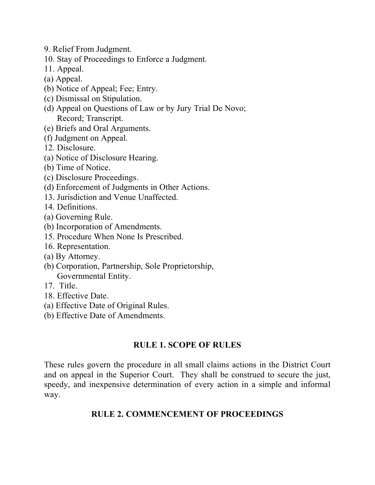- 9. Relief From Judgment.
- 10. Stay of Proceedings to Enforce a Judgment.
- 11. Appeal.
- (a) Appeal.
- (b) Notice of Appeal; Fee; Entry.
- (c) Dismissal on Stipulation.
- (d) Appeal on Questions of Law or by Jury Trial De Novo; Record; Transcript.
- (e) Briefs and Oral Arguments.
- (f) Judgment on Appeal.
- 12. Disclosure.
- (a) Notice of Disclosure Hearing.
- (b) Time of Notice.
- (c) Disclosure Proceedings.
- (d) Enforcement of Judgments in Other Actions.
- 13. Jurisdiction and Venue Unaffected.
- 14. Definitions.
- (a) Governing Rule.
- (b) Incorporation of Amendments.
- 15. Procedure When None Is Prescribed.
- 16. Representation.
- (a) By Attorney.
- (b) Corporation, Partnership, Sole Proprietorship, Governmental Entity.
- 17. Title.
- 18. Effective Date.
- (a) Effective Date of Original Rules.
- (b) Effective Date of Amendments.

## **RULE 1. SCOPE OF RULES**

These rules govern the procedure in all small claims actions in the District Court and on appeal in the Superior Court. They shall be construed to secure the just, speedy, and inexpensive determination of every action in a simple and informal way.

# **RULE 2. COMMENCEMENT OF PROCEEDINGS**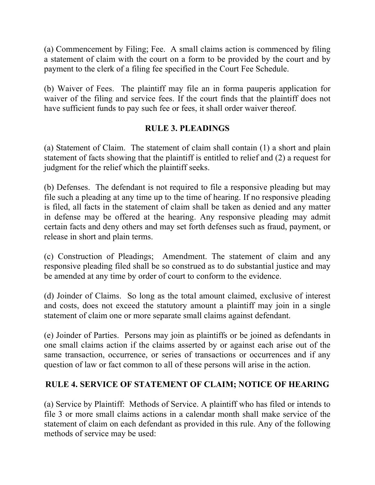(a) Commencement by Filing; Fee. A small claims action is commenced by filing a statement of claim with the court on a form to be provided by the court and by payment to the clerk of a filing fee specified in the Court Fee Schedule.

(b) Waiver of Fees. The plaintiff may file an in forma pauperis application for waiver of the filing and service fees. If the court finds that the plaintiff does not have sufficient funds to pay such fee or fees, it shall order waiver thereof.

## **RULE 3. PLEADINGS**

(a) Statement of Claim. The statement of claim shall contain (1) a short and plain statement of facts showing that the plaintiff is entitled to relief and (2) a request for judgment for the relief which the plaintiff seeks.

(b) Defenses. The defendant is not required to file a responsive pleading but may file such a pleading at any time up to the time of hearing. If no responsive pleading is filed, all facts in the statement of claim shall be taken as denied and any matter in defense may be offered at the hearing. Any responsive pleading may admit certain facts and deny others and may set forth defenses such as fraud, payment, or release in short and plain terms.

(c) Construction of Pleadings; Amendment. The statement of claim and any responsive pleading filed shall be so construed as to do substantial justice and may be amended at any time by order of court to conform to the evidence.

(d) Joinder of Claims. So long as the total amount claimed, exclusive of interest and costs, does not exceed the statutory amount a plaintiff may join in a single statement of claim one or more separate small claims against defendant.

(e) Joinder of Parties. Persons may join as plaintiffs or be joined as defendants in one small claims action if the claims asserted by or against each arise out of the same transaction, occurrence, or series of transactions or occurrences and if any question of law or fact common to all of these persons will arise in the action.

## **RULE 4. SERVICE OF STATEMENT OF CLAIM; NOTICE OF HEARING**

(a) Service by Plaintiff: Methods of Service. A plaintiff who has filed or intends to file 3 or more small claims actions in a calendar month shall make service of the statement of claim on each defendant as provided in this rule. Any of the following methods of service may be used: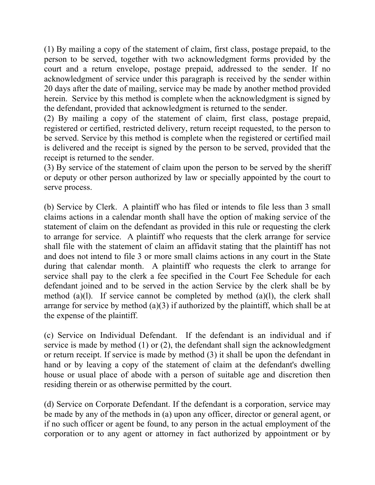(1) By mailing a copy of the statement of claim, first class, postage prepaid, to the person to be served, together with two acknowledgment forms provided by the court and a return envelope, postage prepaid, addressed to the sender. If no acknowledgment of service under this paragraph is received by the sender within 20 days after the date of mailing, service may be made by another method provided herein. Service by this method is complete when the acknowledgment is signed by the defendant, provided that acknowledgment is returned to the sender.

(2) By mailing a copy of the statement of claim, first class, postage prepaid, registered or certified, restricted delivery, return receipt requested, to the person to be served. Service by this method is complete when the registered or certified mail is delivered and the receipt is signed by the person to be served, provided that the receipt is returned to the sender.

(3) By service of the statement of claim upon the person to be served by the sheriff or deputy or other person authorized by law or specially appointed by the court to serve process.

(b) Service by Clerk. A plaintiff who has filed or intends to file less than 3 small claims actions in a calendar month shall have the option of making service of the statement of claim on the defendant as provided in this rule or requesting the clerk to arrange for service. A plaintiff who requests that the clerk arrange for service shall file with the statement of claim an affidavit stating that the plaintiff has not and does not intend to file 3 or more small claims actions in any court in the State during that calendar month. A plaintiff who requests the clerk to arrange for service shall pay to the clerk a fee specified in the Court Fee Schedule for each defendant joined and to be served in the action Service by the clerk shall be by method (a)(1). If service cannot be completed by method (a)(1), the clerk shall arrange for service by method (a)(3) if authorized by the plaintiff, which shall be at the expense of the plaintiff.

(c) Service on Individual Defendant. If the defendant is an individual and if service is made by method (1) or (2), the defendant shall sign the acknowledgment or return receipt. If service is made by method (3) it shall be upon the defendant in hand or by leaving a copy of the statement of claim at the defendant's dwelling house or usual place of abode with a person of suitable age and discretion then residing therein or as otherwise permitted by the court.

(d) Service on Corporate Defendant. If the defendant is a corporation, service may be made by any of the methods in (a) upon any officer, director or general agent, or if no such officer or agent be found, to any person in the actual employment of the corporation or to any agent or attorney in fact authorized by appointment or by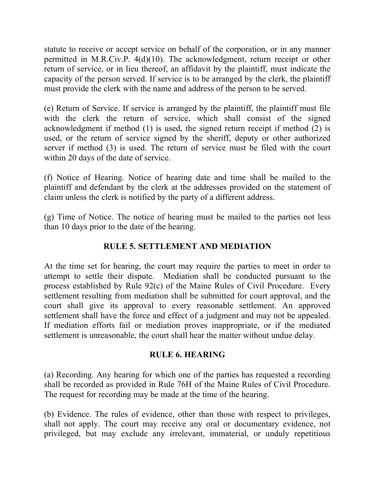statute to receive or accept service on behalf of the corporation, or in any manner permitted in M.R.Civ.P. 4(d)(10). The acknowledgment, return receipt or other return of service, or in lieu thereof, an affidavit by the plaintiff, must indicate the capacity of the person served. If service is to be arranged by the clerk, the plaintiff must provide the clerk with the name and address of the person to be served.

(e) Return of Service. If service is arranged by the plaintiff, the plaintiff must file with the clerk the return of service, which shall consist of the signed acknowledgment if method (1) is used, the signed return receipt if method (2) is used, or the return of service signed by the sheriff, deputy or other authorized server if method (3) is used. The return of service must be filed with the court within 20 days of the date of service.

(f) Notice of Hearing. Notice of hearing date and time shall be mailed to the plaintiff and defendant by the clerk at the addresses provided on the statement of claim unless the clerk is notified by the party of a different address.

(g) Time of Notice. The notice of hearing must be mailed to the parties not less than 10 days prior to the date of the hearing.

## **RULE 5. SETTLEMENT AND MEDIATION**

At the time set for hearing, the court may require the parties to meet in order to attempt to settle their dispute. Mediation shall be conducted pursuant to the process established by Rule 92(c) of the Maine Rules of Civil Procedure. Every settlement resulting from mediation shall be submitted for court approval, and the court shall give its approval to every reasonable settlement. An approved settlement shall have the force and effect of a judgment and may not be appealed. If mediation efforts fail or mediation proves inappropriate, or if the mediated settlement is unreasonable, the court shall hear the matter without undue delay.

## **RULE 6. HEARING**

(a) Recording. Any hearing for which one of the parties has requested a recording shall be recorded as provided in Rule 76H of the Maine Rules of Civil Procedure. The request for recording may be made at the time of the hearing.

(b) Evidence. The rules of evidence, other than those with respect to privileges, shall not apply. The court may receive any oral or documentary evidence, not privileged, but may exclude any irrelevant, immaterial, or unduly repetitious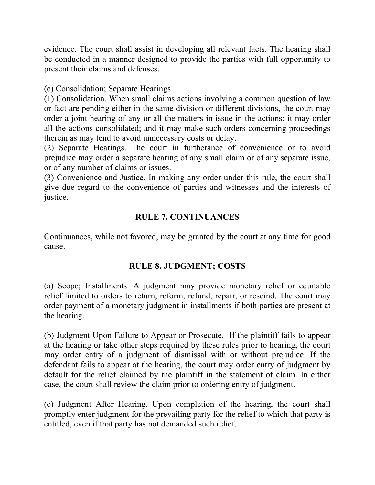evidence. The court shall assist in developing all relevant facts. The hearing shall be conducted in a manner designed to provide the parties with full opportunity to present their claims and defenses.

(c) Consolidation; Separate Hearings.

(1) Consolidation. When small claims actions involving a common question of law or fact are pending either in the same division or different divisions, the court may order a joint hearing of any or all the matters in issue in the actions; it may order all the actions consolidated; and it may make such orders concerning proceedings therein as may tend to avoid unnecessary costs or delay.

(2) Separate Hearings. The court in furtherance of convenience or to avoid prejudice may order a separate hearing of any small claim or of any separate issue, or of any number of claims or issues.

(3) Convenience and Justice. In making any order under this rule, the court shall give due regard to the convenience of parties and witnesses and the interests of justice.

# **RULE 7. CONTINUANCES**

Continuances, while not favored, may be granted by the court at any time for good cause.

## **RULE 8. JUDGMENT; COSTS**

(a) Scope; Installments. A judgment may provide monetary relief or equitable relief limited to orders to return, reform, refund, repair, or rescind. The court may order payment of a monetary judgment in installments if both parties are present at the hearing.

(b) Judgment Upon Failure to Appear or Prosecute. If the plaintiff fails to appear at the hearing or take other steps required by these rules prior to hearing, the court may order entry of a judgment of dismissal with or without prejudice. If the defendant fails to appear at the hearing, the court may order entry of judgment by default for the relief claimed by the plaintiff in the statement of claim. In either case, the court shall review the claim prior to ordering entry of judgment.

(c) Judgment After Hearing. Upon completion of the hearing, the court shall promptly enter judgment for the prevailing party for the relief to which that party is entitled, even if that party has not demanded such relief.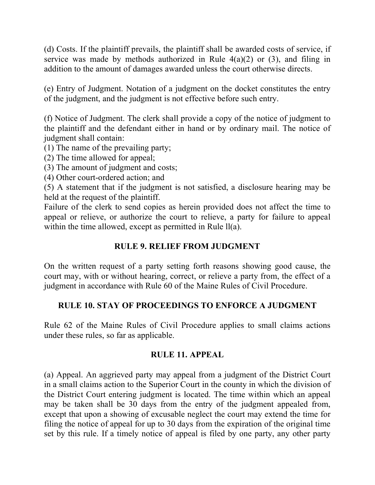(d) Costs. If the plaintiff prevails, the plaintiff shall be awarded costs of service, if service was made by methods authorized in Rule  $4(a)(2)$  or  $(3)$ , and filing in addition to the amount of damages awarded unless the court otherwise directs.

(e) Entry of Judgment. Notation of a judgment on the docket constitutes the entry of the judgment, and the judgment is not effective before such entry.

(f) Notice of Judgment. The clerk shall provide a copy of the notice of judgment to the plaintiff and the defendant either in hand or by ordinary mail. The notice of judgment shall contain:

(1) The name of the prevailing party;

(2) The time allowed for appeal;

(3) The amount of judgment and costs;

(4) Other court-ordered action; and

(5) A statement that if the judgment is not satisfied, a disclosure hearing may be held at the request of the plaintiff.

Failure of the clerk to send copies as herein provided does not affect the time to appeal or relieve, or authorize the court to relieve, a party for failure to appeal within the time allowed, except as permitted in Rule  $ll(a)$ .

## **RULE 9. RELIEF FROM JUDGMENT**

On the written request of a party setting forth reasons showing good cause, the court may, with or without hearing, correct, or relieve a party from, the effect of a judgment in accordance with Rule 60 of the Maine Rules of Civil Procedure.

## **RULE 10. STAY OF PROCEEDINGS TO ENFORCE A JUDGMENT**

Rule 62 of the Maine Rules of Civil Procedure applies to small claims actions under these rules, so far as applicable.

## **RULE 11. APPEAL**

(a) Appeal. An aggrieved party may appeal from a judgment of the District Court in a small claims action to the Superior Court in the county in which the division of the District Court entering judgment is located. The time within which an appeal may be taken shall be 30 days from the entry of the judgment appealed from, except that upon a showing of excusable neglect the court may extend the time for filing the notice of appeal for up to 30 days from the expiration of the original time set by this rule. If a timely notice of appeal is filed by one party, any other party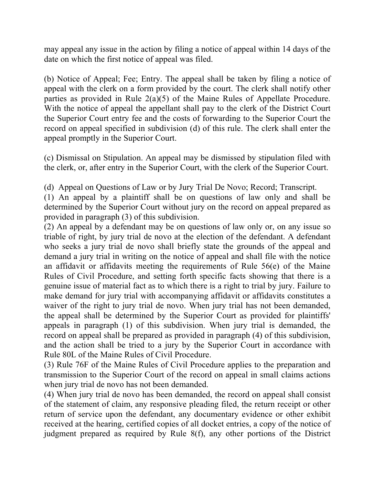may appeal any issue in the action by filing a notice of appeal within 14 days of the date on which the first notice of appeal was filed.

(b) Notice of Appeal; Fee; Entry. The appeal shall be taken by filing a notice of appeal with the clerk on a form provided by the court. The clerk shall notify other parties as provided in Rule 2(a)(5) of the Maine Rules of Appellate Procedure. With the notice of appeal the appellant shall pay to the clerk of the District Court the Superior Court entry fee and the costs of forwarding to the Superior Court the record on appeal specified in subdivision (d) of this rule. The clerk shall enter the appeal promptly in the Superior Court.

(c) Dismissal on Stipulation. An appeal may be dismissed by stipulation filed with the clerk, or, after entry in the Superior Court, with the clerk of the Superior Court.

(d) Appeal on Questions of Law or by Jury Trial De Novo; Record; Transcript.

(1) An appeal by a plaintiff shall be on questions of law only and shall be determined by the Superior Court without jury on the record on appeal prepared as provided in paragraph (3) of this subdivision.

(2) An appeal by a defendant may be on questions of law only or, on any issue so triable of right, by jury trial de novo at the election of the defendant. A defendant who seeks a jury trial de novo shall briefly state the grounds of the appeal and demand a jury trial in writing on the notice of appeal and shall file with the notice an affidavit or affidavits meeting the requirements of Rule 56(e) of the Maine Rules of Civil Procedure, and setting forth specific facts showing that there is a genuine issue of material fact as to which there is a right to trial by jury. Failure to make demand for jury trial with accompanying affidavit or affidavits constitutes a waiver of the right to jury trial de novo. When jury trial has not been demanded, the appeal shall be determined by the Superior Court as provided for plaintiffs' appeals in paragraph (1) of this subdivision. When jury trial is demanded, the record on appeal shall be prepared as provided in paragraph (4) of this subdivision, and the action shall be tried to a jury by the Superior Court in accordance with Rule 80L of the Maine Rules of Civil Procedure.

(3) Rule 76F of the Maine Rules of Civil Procedure applies to the preparation and transmission to the Superior Court of the record on appeal in small claims actions when jury trial de novo has not been demanded.

(4) When jury trial de novo has been demanded, the record on appeal shall consist of the statement of claim, any responsive pleading filed, the return receipt or other return of service upon the defendant, any documentary evidence or other exhibit received at the hearing, certified copies of all docket entries, a copy of the notice of judgment prepared as required by Rule 8(f), any other portions of the District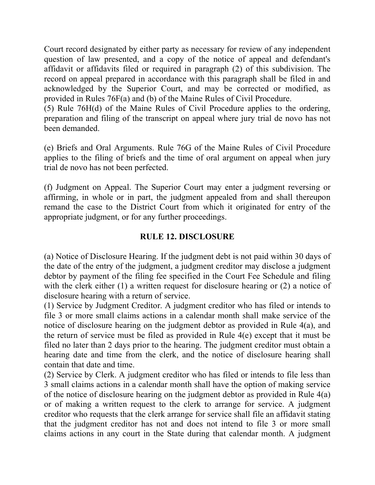Court record designated by either party as necessary for review of any independent question of law presented, and a copy of the notice of appeal and defendant's affidavit or affidavits filed or required in paragraph (2) of this subdivision. The record on appeal prepared in accordance with this paragraph shall be filed in and acknowledged by the Superior Court, and may be corrected or modified, as provided in Rules 76F(a) and (b) of the Maine Rules of Civil Procedure.

(5) Rule 76H(d) of the Maine Rules of Civil Procedure applies to the ordering, preparation and filing of the transcript on appeal where jury trial de novo has not been demanded.

(e) Briefs and Oral Arguments. Rule 76G of the Maine Rules of Civil Procedure applies to the filing of briefs and the time of oral argument on appeal when jury trial de novo has not been perfected.

(f) Judgment on Appeal. The Superior Court may enter a judgment reversing or affirming, in whole or in part, the judgment appealed from and shall thereupon remand the case to the District Court from which it originated for entry of the appropriate judgment, or for any further proceedings.

## **RULE 12. DISCLOSURE**

(a) Notice of Disclosure Hearing. If the judgment debt is not paid within 30 days of the date of the entry of the judgment, a judgment creditor may disclose a judgment debtor by payment of the filing fee specified in the Court Fee Schedule and filing with the clerk either (1) a written request for disclosure hearing or (2) a notice of disclosure hearing with a return of service.

(1) Service by Judgment Creditor. A judgment creditor who has filed or intends to file 3 or more small claims actions in a calendar month shall make service of the notice of disclosure hearing on the judgment debtor as provided in Rule 4(a), and the return of service must be filed as provided in Rule 4(e) except that it must be filed no later than 2 days prior to the hearing. The judgment creditor must obtain a hearing date and time from the clerk, and the notice of disclosure hearing shall contain that date and time.

(2) Service by Clerk. A judgment creditor who has filed or intends to file less than 3 small claims actions in a calendar month shall have the option of making service of the notice of disclosure hearing on the judgment debtor as provided in Rule 4(a) or of making a written request to the clerk to arrange for service. A judgment creditor who requests that the clerk arrange for service shall file an affidavit stating that the judgment creditor has not and does not intend to file 3 or more small claims actions in any court in the State during that calendar month. A judgment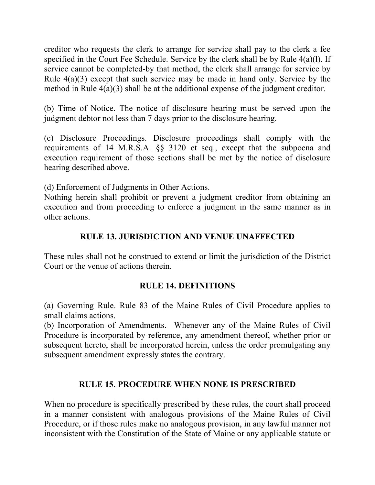creditor who requests the clerk to arrange for service shall pay to the clerk a fee specified in the Court Fee Schedule. Service by the clerk shall be by Rule 4(a)(l). If service cannot be completed-by that method, the clerk shall arrange for service by Rule 4(a)(3) except that such service may be made in hand only. Service by the method in Rule 4(a)(3) shall be at the additional expense of the judgment creditor.

(b) Time of Notice. The notice of disclosure hearing must be served upon the judgment debtor not less than 7 days prior to the disclosure hearing.

(c) Disclosure Proceedings. Disclosure proceedings shall comply with the requirements of 14 M.R.S.A. §§ 3120 et seq., except that the subpoena and execution requirement of those sections shall be met by the notice of disclosure hearing described above.

(d) Enforcement of Judgments in Other Actions.

Nothing herein shall prohibit or prevent a judgment creditor from obtaining an execution and from proceeding to enforce a judgment in the same manner as in other actions.

## **RULE 13. JURISDICTION AND VENUE UNAFFECTED**

These rules shall not be construed to extend or limit the jurisdiction of the District Court or the venue of actions therein.

## **RULE 14. DEFINITIONS**

(a) Governing Rule. Rule 83 of the Maine Rules of Civil Procedure applies to small claims actions.

(b) Incorporation of Amendments. Whenever any of the Maine Rules of Civil Procedure is incorporated by reference, any amendment thereof, whether prior or subsequent hereto, shall be incorporated herein, unless the order promulgating any subsequent amendment expressly states the contrary.

## **RULE 15. PROCEDURE WHEN NONE IS PRESCRIBED**

When no procedure is specifically prescribed by these rules, the court shall proceed in a manner consistent with analogous provisions of the Maine Rules of Civil Procedure, or if those rules make no analogous provision, in any lawful manner not inconsistent with the Constitution of the State of Maine or any applicable statute or